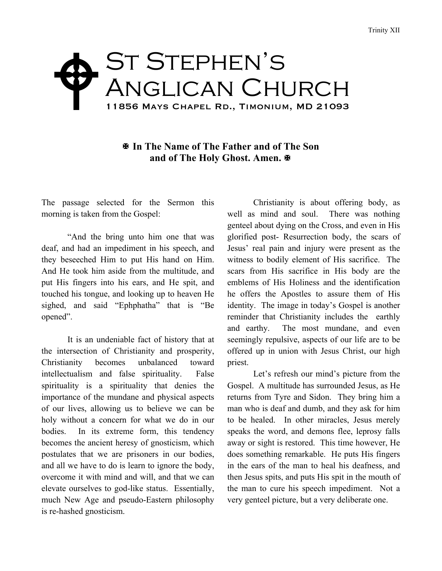## ST STEPHEN'S Anglican Church 11856 Mays Chapel Rd., Timonium, MD 21093  $\blacklozenge$

## X **In The Name of The Father and of The Son and of The Holy Ghost. Amen.** X

The passage selected for the Sermon this morning is taken from the Gospel:

"And the bring unto him one that was deaf, and had an impediment in his speech, and they beseeched Him to put His hand on Him. And He took him aside from the multitude, and put His fingers into his ears, and He spit, and touched his tongue, and looking up to heaven He sighed, and said "Ephphatha" that is "Be opened".

It is an undeniable fact of history that at the intersection of Christianity and prosperity, Christianity becomes unbalanced toward intellectualism and false spirituality. False spirituality is a spirituality that denies the importance of the mundane and physical aspects of our lives, allowing us to believe we can be holy without a concern for what we do in our bodies. In its extreme form, this tendency becomes the ancient heresy of gnosticism, which postulates that we are prisoners in our bodies, and all we have to do is learn to ignore the body, overcome it with mind and will, and that we can elevate ourselves to god-like status. Essentially, much New Age and pseudo-Eastern philosophy is re-hashed gnosticism.

Christianity is about offering body, as well as mind and soul. There was nothing genteel about dying on the Cross, and even in His glorified post- Resurrection body, the scars of Jesus' real pain and injury were present as the witness to bodily element of His sacrifice. The scars from His sacrifice in His body are the emblems of His Holiness and the identification he offers the Apostles to assure them of His identity. The image in today's Gospel is another reminder that Christianity includes the earthly and earthy. The most mundane, and even seemingly repulsive, aspects of our life are to be offered up in union with Jesus Christ, our high priest.

Let's refresh our mind's picture from the Gospel. A multitude has surrounded Jesus, as He returns from Tyre and Sidon. They bring him a man who is deaf and dumb, and they ask for him to be healed. In other miracles, Jesus merely speaks the word, and demons flee, leprosy falls away or sight is restored. This time however, He does something remarkable. He puts His fingers in the ears of the man to heal his deafness, and then Jesus spits, and puts His spit in the mouth of the man to cure his speech impediment. Not a very genteel picture, but a very deliberate one.